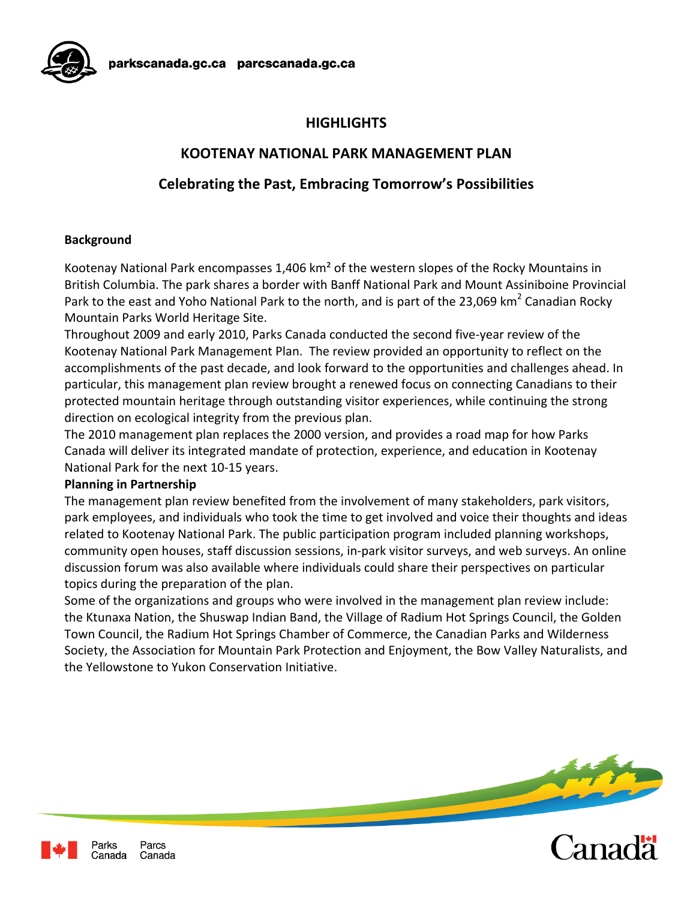

# **HIGHLIGHTS**

### **KOOTENAY NATIONAL PARK MANAGEMENT PLAN**

# **Celebrating the Past, Embracing Tomorrow's Possibilities**

#### **Background**

Kootenay National Park encompasses 1,406 km² of the western slopes of the Rocky Mountains in British Columbia. The park shares a border with Banff National Park and Mount Assiniboine Provincial Park to the east and Yoho National Park to the north, and is part of the 23,069 km<sup>2</sup> Canadian Rocky Mountain Parks World Heritage Site.

Throughout 2009 and early 2010, Parks Canada conducted the second five‐year review of the Kootenay National Park Management Plan. The review provided an opportunity to reflect on the accomplishments of the past decade, and look forward to the opportunities and challenges ahead. In particular, this management plan review brought a renewed focus on connecting Canadians to their protected mountain heritage through outstanding visitor experiences, while continuing the strong direction on ecological integrity from the previous plan.

The 2010 management plan replaces the 2000 version, and provides a road map for how Parks Canada will deliver its integrated mandate of protection, experience, and education in Kootenay National Park for the next 10‐15 years.

#### **Planning in Partnership**

The management plan review benefited from the involvement of many stakeholders, park visitors, park employees, and individuals who took the time to get involved and voice their thoughts and ideas related to Kootenay National Park. The public participation program included planning workshops, community open houses, staff discussion sessions, in‐park visitor surveys, and web surveys. An online discussion forum was also available where individuals could share their perspectives on particular topics during the preparation of the plan.

Some of the organizations and groups who were involved in the management plan review include: the Ktunaxa Nation, the Shuswap Indian Band, the Village of Radium Hot Springs Council, the Golden Town Council, the Radium Hot Springs Chamber of Commerce, the Canadian Parks and Wilderness Society, the Association for Mountain Park Protection and Enjoyment, the Bow Valley Naturalists, and the Yellowstone to Yukon Conservation Initiative.





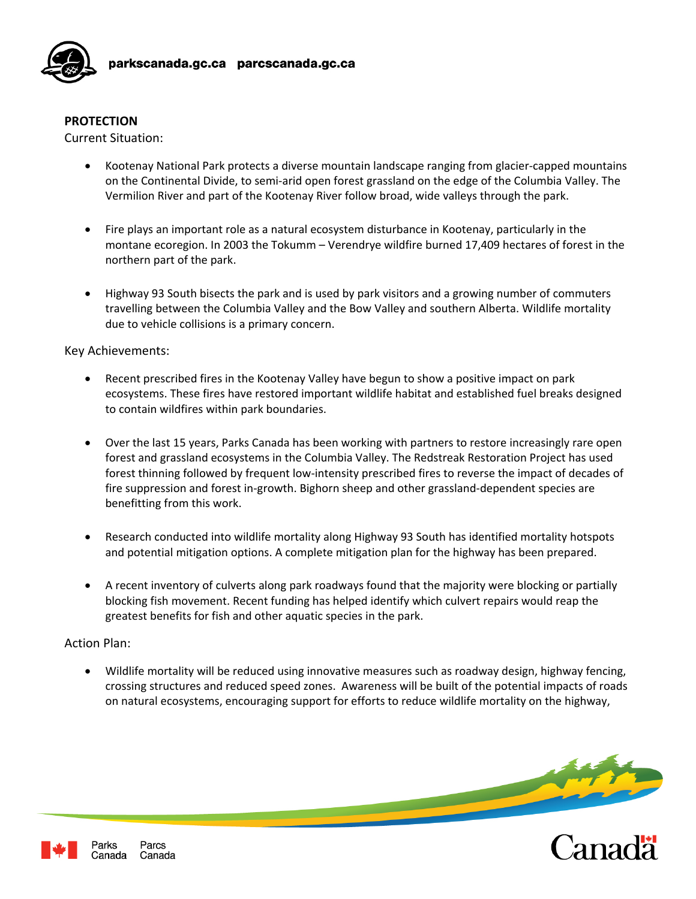

### **PROTECTION**

Current Situation:

- Kootenay National Park protects a diverse mountain landscape ranging from glacier‐capped mountains on the Continental Divide, to semi‐arid open forest grassland on the edge of the Columbia Valley. The Vermilion River and part of the Kootenay River follow broad, wide valleys through the park.
- Fire plays an important role as a natural ecosystem disturbance in Kootenay, particularly in the montane ecoregion. In 2003 the Tokumm – Verendrye wildfire burned 17,409 hectares of forest in the northern part of the park.
- Highway 93 South bisects the park and is used by park visitors and a growing number of commuters travelling between the Columbia Valley and the Bow Valley and southern Alberta. Wildlife mortality due to vehicle collisions is a primary concern.

#### Key Achievements:

- Recent prescribed fires in the Kootenay Valley have begun to show a positive impact on park ecosystems. These fires have restored important wildlife habitat and established fuel breaks designed to contain wildfires within park boundaries.
- Over the last 15 years, Parks Canada has been working with partners to restore increasingly rare open forest and grassland ecosystems in the Columbia Valley. The Redstreak Restoration Project has used forest thinning followed by frequent low-intensity prescribed fires to reverse the impact of decades of fire suppression and forest in‐growth. Bighorn sheep and other grassland‐dependent species are benefitting from this work.
- Research conducted into wildlife mortality along Highway 93 South has identified mortality hotspots and potential mitigation options. A complete mitigation plan for the highway has been prepared.
- A recent inventory of culverts along park roadways found that the majority were blocking or partially blocking fish movement. Recent funding has helped identify which culvert repairs would reap the greatest benefits for fish and other aquatic species in the park.

### Action Plan:

• Wildlife mortality will be reduced using innovative measures such as roadway design, highway fencing, crossing structures and reduced speed zones. Awareness will be built of the potential impacts of roads on natural ecosystems, encouraging support for efforts to reduce wildlife mortality on the highway,

banadä<sup>r</sup>

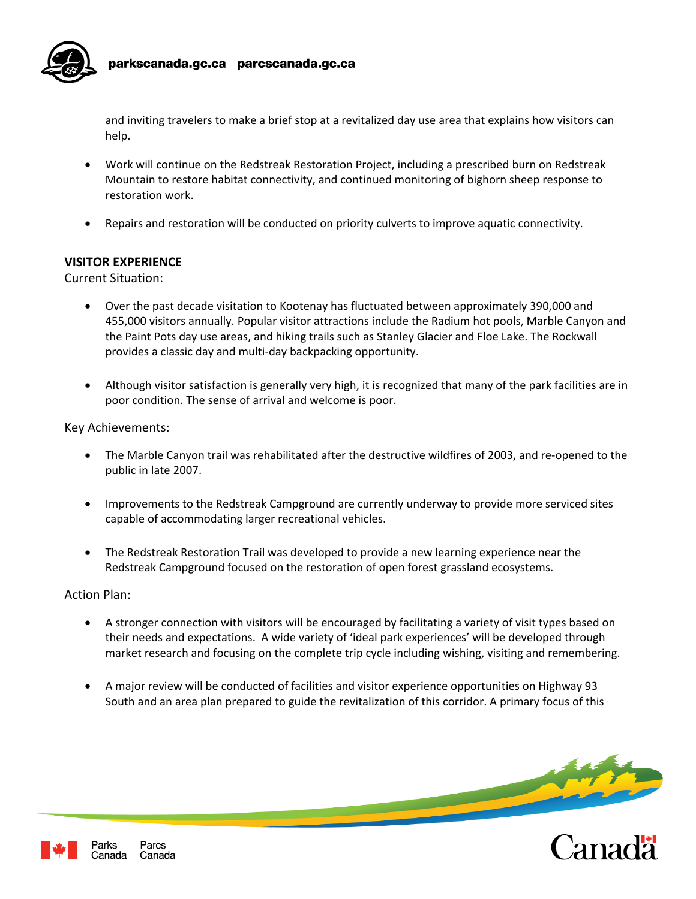

and inviting travelers to make a brief stop at a revitalized day use area that explains how visitors can help.

- Work will continue on the Redstreak Restoration Project, including a prescribed burn on Redstreak Mountain to restore habitat connectivity, and continued monitoring of bighorn sheep response to restoration work.
- Repairs and restoration will be conducted on priority culverts to improve aquatic connectivity.

#### **VISITOR EXPERIENCE**

Current Situation:

- Over the past decade visitation to Kootenay has fluctuated between approximately 390,000 and 455,000 visitors annually. Popular visitor attractions include the Radium hot pools, Marble Canyon and the Paint Pots day use areas, and hiking trails such as Stanley Glacier and Floe Lake. The Rockwall provides a classic day and multi‐day backpacking opportunity.
- Although visitor satisfaction is generally very high, it is recognized that many of the park facilities are in poor condition. The sense of arrival and welcome is poor.

Key Achievements:

- The Marble Canyon trail was rehabilitated after the destructive wildfires of 2003, and re‐opened to the public in late 2007.
- Improvements to the Redstreak Campground are currently underway to provide more serviced sites capable of accommodating larger recreational vehicles.
- The Redstreak Restoration Trail was developed to provide a new learning experience near the Redstreak Campground focused on the restoration of open forest grassland ecosystems.

Action Plan:

- A stronger connection with visitors will be encouraged by facilitating a variety of visit types based on their needs and expectations. A wide variety of 'ideal park experiences' will be developed through market research and focusing on the complete trip cycle including wishing, visiting and remembering.
- A major review will be conducted of facilities and visitor experience opportunities on Highway 93 South and an area plan prepared to guide the revitalization of this corridor. A primary focus of this

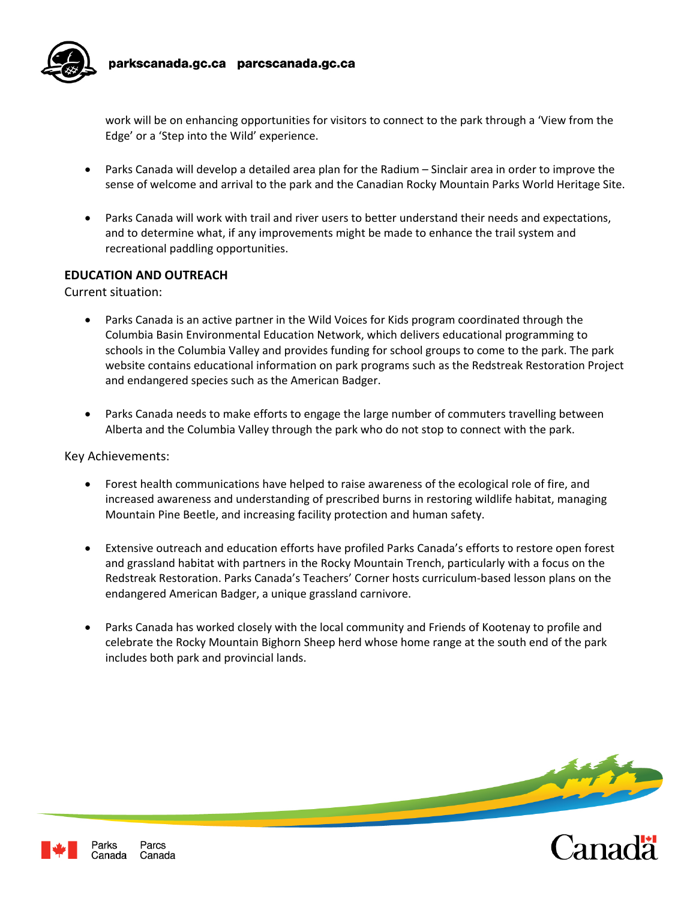

work will be on enhancing opportunities for visitors to connect to the park through a 'View from the Edge' or a 'Step into the Wild' experience.

- Parks Canada will develop a detailed area plan for the Radium Sinclair area in order to improve the sense of welcome and arrival to the park and the Canadian Rocky Mountain Parks World Heritage Site.
- Parks Canada will work with trail and river users to better understand their needs and expectations, and to determine what, if any improvements might be made to enhance the trail system and recreational paddling opportunities.

#### **EDUCATION AND OUTREACH**

Current situation:

- Parks Canada is an active partner in the Wild Voices for Kids program coordinated through the Columbia Basin Environmental Education Network, which delivers educational programming to schools in the Columbia Valley and provides funding for school groups to come to the park. The park website contains educational information on park programs such as the Redstreak Restoration Project and endangered species such as the American Badger.
- Parks Canada needs to make efforts to engage the large number of commuters travelling between Alberta and the Columbia Valley through the park who do not stop to connect with the park.

Key Achievements:

- Forest health communications have helped to raise awareness of the ecological role of fire, and increased awareness and understanding of prescribed burns in restoring wildlife habitat, managing Mountain Pine Beetle, and increasing facility protection and human safety.
- Extensive outreach and education efforts have profiled Parks Canada's efforts to restore open forest and grassland habitat with partners in the Rocky Mountain Trench, particularly with a focus on the Redstreak Restoration. Parks Canada's Teachers' Corner hosts curriculum‐based lesson plans on the endangered American Badger, a unique grassland carnivore.
- Parks Canada has worked closely with the local community and Friends of Kootenay to profile and celebrate the Rocky Mountain Bighorn Sheep herd whose home range at the south end of the park includes both park and provincial lands.